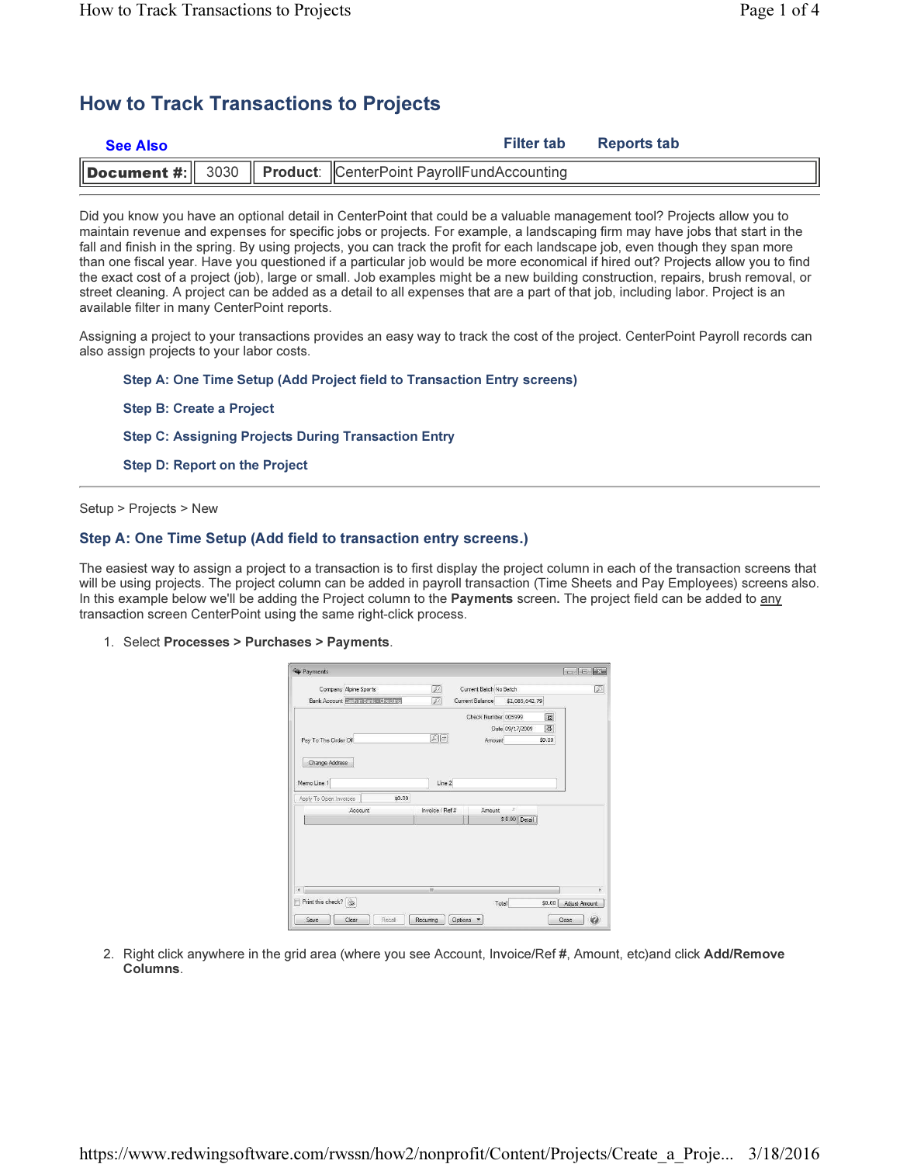# How to Track Transactions to Projects

| <b>See Also</b> | Filter tab                                                           | Reports tab |
|-----------------|----------------------------------------------------------------------|-------------|
|                 | <b>Document #:</b> 3030   Product: CenterPoint PayrollFundAccounting |             |

Did you know you have an optional detail in CenterPoint that could be a valuable management tool? Projects allow you to maintain revenue and expenses for specific jobs or projects. For example, a landscaping firm may have jobs that start in the fall and finish in the spring. By using projects, you can track the profit for each landscape job, even though they span more than one fiscal year. Have you questioned if a particular job would be more economical if hired out? Projects allow you to find the exact cost of a project (job), large or small. Job examples might be a new building construction, repairs, brush removal, or street cleaning. A project can be added as a detail to all expenses that are a part of that job, including labor. Project is an available filter in many CenterPoint reports.

Assigning a project to your transactions provides an easy way to track the cost of the project. CenterPoint Payroll records can also assign projects to your labor costs.

Step A: One Time Setup (Add Project field to Transaction Entry screens) Step B: Create a Project Step C: Assigning Projects During Transaction Entry Step D: Report on the Project

Setup > Projects > New

## Step A: One Time Setup (Add field to transaction entry screens.)

The easiest way to assign a project to a transaction is to first display the project column in each of the transaction screens that will be using projects. The project column can be added in payroll transaction (Time Sheets and Pay Employees) screens also. In this example below we'll be adding the Project column to the Payments screen. The project field can be added to any transaction screen CenterPoint using the same right-click process.

1. Select Processes > Purchases > Payments.

| Company Alpine Sports                |         | 図                     | Current Batch No Batch |                 |        | 図 |
|--------------------------------------|---------|-----------------------|------------------------|-----------------|--------|---|
| Bank Account Cash in Bank - Checking |         | 12                    | Current Balance        | \$2,085,642.79  |        |   |
|                                      |         |                       | Check Number 005999    |                 | 园      |   |
|                                      |         |                       |                        | Date 09/17/2009 | 吞      |   |
| Pay To The Order Of                  |         | $\mathcal{P}[\sigma]$ | Amount                 |                 | \$0.00 |   |
|                                      |         |                       |                        |                 |        |   |
| Change Address                       |         |                       |                        |                 |        |   |
|                                      |         |                       |                        |                 |        |   |
| Memo Line 1                          |         | Line 2                |                        |                 |        |   |
| Apply To Open Invoices               | \$0.00  |                       |                        |                 |        |   |
|                                      | Account | Invoice / Ref #       | Amount                 | $\chi$          |        |   |
|                                      |         |                       |                        | \$0.00 Detail   |        |   |
|                                      |         |                       |                        |                 |        |   |
|                                      |         |                       |                        |                 |        |   |
|                                      |         |                       |                        |                 |        |   |
|                                      |         |                       |                        |                 |        |   |
|                                      |         |                       |                        |                 |        |   |
|                                      |         |                       |                        |                 |        |   |
|                                      |         | m                     |                        |                 |        |   |

2. Right click anywhere in the grid area (where you see Account, Invoice/Ref #, Amount, etc)and click Add/Remove Columns.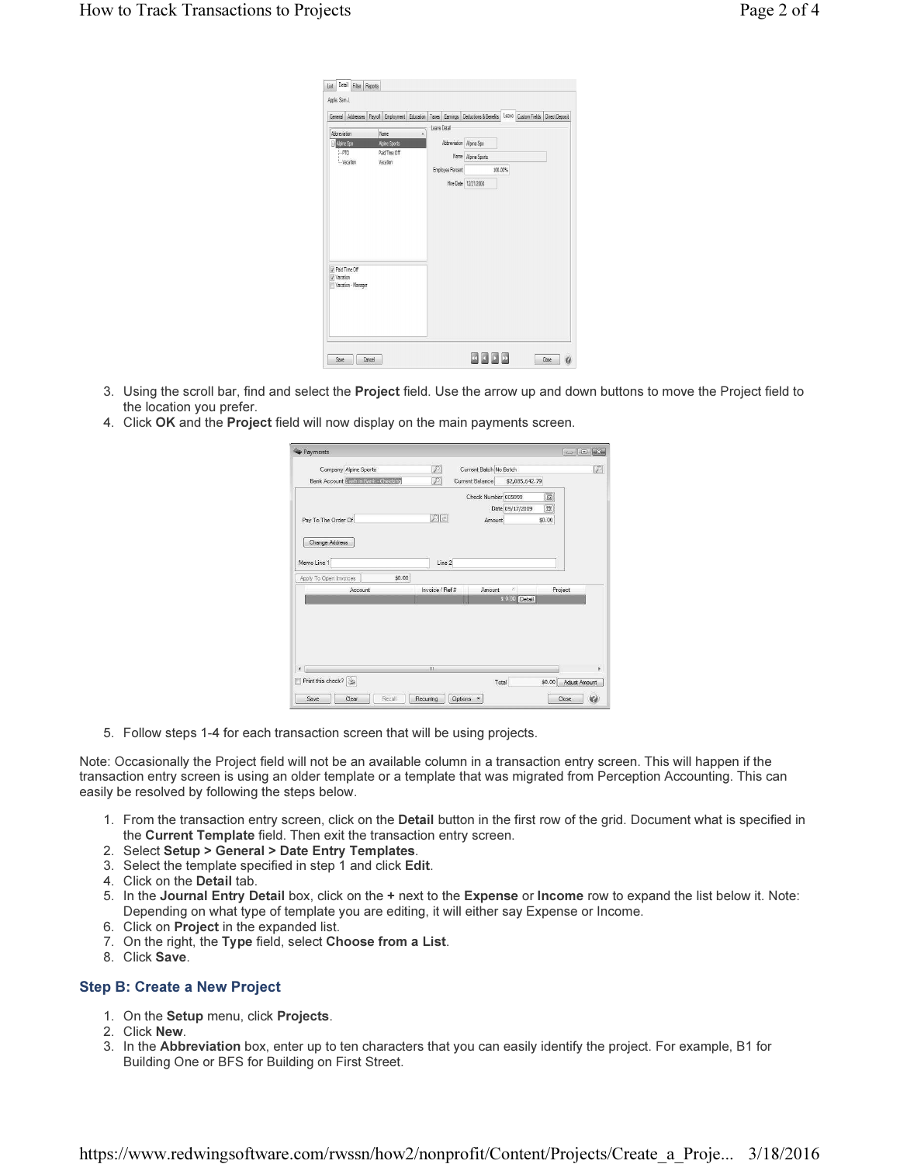|                               |         |                    |               |      |               |  |                    |              |                         |  |         |  | General Addresses Payroll Employment Education Taxes Earnings Deductions & Benefits Leave Custom Fields Direct Deposit |  |
|-------------------------------|---------|--------------------|---------------|------|---------------|--|--------------------|--------------|-------------------------|--|---------|--|------------------------------------------------------------------------------------------------------------------------|--|
| Abbreviation                  |         |                    |               | Name |               |  | Ä                  | Leave Detail |                         |  |         |  |                                                                                                                        |  |
| Alpine Spo                    |         |                    |               |      | Alpine Sports |  |                    |              | Abbreviation Alpine Spo |  |         |  |                                                                                                                        |  |
|                               | $-$ PTO |                    | Paid Time Off |      |               |  | Name Alpine Sports |              |                         |  |         |  |                                                                                                                        |  |
| - Vacation                    |         |                    |               |      | Vacation      |  |                    |              | Employee Percent        |  | 100.00% |  |                                                                                                                        |  |
|                               |         |                    |               |      |               |  |                    |              |                         |  |         |  |                                                                                                                        |  |
|                               |         |                    |               |      |               |  |                    |              | Hire Date 12/21/2008    |  |         |  |                                                                                                                        |  |
|                               |         |                    |               |      |               |  |                    |              |                         |  |         |  |                                                                                                                        |  |
| 7 Paid Time Off<br>V Vacation |         | Vacation - Manager |               |      |               |  |                    |              |                         |  |         |  |                                                                                                                        |  |

- 3. Using the scroll bar, find and select the Project field. Use the arrow up and down buttons to move the Project field to the location you prefer.
- 4. Click OK and the Project field will now display on the main payments screen.

|                        | Company Alpine Sports               | $\mathbb{Z}$         | Current Batch No Batch |                 |         | p |
|------------------------|-------------------------------------|----------------------|------------------------|-----------------|---------|---|
|                        | Bank Account Cash in Bank - Chedang | 図                    | Current Balance        | \$2,085,642.79  |         |   |
|                        |                                     |                      | Check Number 005999    |                 | 画       |   |
|                        |                                     |                      |                        | Date 09/17/2009 | 理       |   |
| Pay To The Order Of    |                                     | $\mathbb{Z}[\sigma]$ | Amount                 |                 | \$0.00  |   |
| Change Address         |                                     |                      |                        |                 |         |   |
| Memo Line 1            |                                     | Line 2               |                        |                 |         |   |
| Apply To Open Invoices | \$0.00                              |                      |                        |                 |         |   |
|                        | Account                             | Invoice / Ref #      | <b>Amount</b>          | ž               | Project |   |
|                        |                                     |                      |                        | \$0.00 Detail   |         |   |
|                        |                                     |                      |                        |                 |         |   |
|                        |                                     |                      |                        |                 |         |   |
|                        |                                     |                      |                        |                 |         |   |
|                        |                                     |                      |                        |                 |         |   |
|                        |                                     |                      |                        |                 |         |   |
|                        |                                     | $\overline{m}$       |                        |                 |         |   |

5. Follow steps 1-4 for each transaction screen that will be using projects.

Note: Occasionally the Project field will not be an available column in a transaction entry screen. This will happen if the transaction entry screen is using an older template or a template that was migrated from Perception Accounting. This can easily be resolved by following the steps below.

- 1. From the transaction entry screen, click on the Detail button in the first row of the grid. Document what is specified in the Current Template field. Then exit the transaction entry screen.
- 2. Select Setup > General > Date Entry Templates.
- 3. Select the template specified in step 1 and click Edit.
- 4. Click on the Detail tab.
- 5. In the Journal Entry Detail box, click on the + next to the Expense or Income row to expand the list below it. Note: Depending on what type of template you are editing, it will either say Expense or Income.
- 6. Click on Project in the expanded list.
- 7. On the right, the Type field, select Choose from a List.
- 8. Click Save.

### Step B: Create a New Project

- 1. On the Setup menu, click Projects.
- 2. Click New.
- 3. In the Abbreviation box, enter up to ten characters that you can easily identify the project. For example, B1 for Building One or BFS for Building on First Street.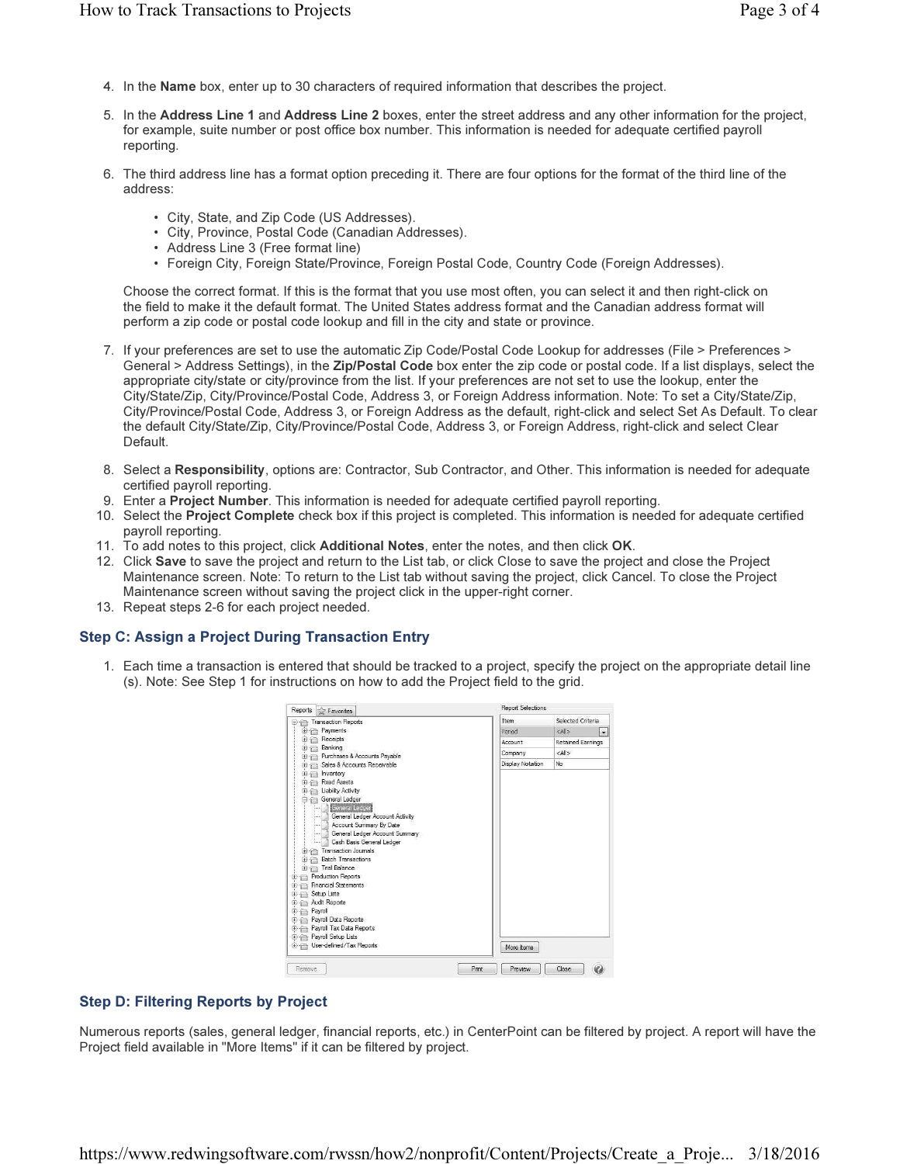- 4. In the Name box, enter up to 30 characters of required information that describes the project.
- 5. In the Address Line 1 and Address Line 2 boxes, enter the street address and any other information for the project, for example, suite number or post office box number. This information is needed for adequate certified payroll reporting.
- 6. The third address line has a format option preceding it. There are four options for the format of the third line of the address:
	- City, State, and Zip Code (US Addresses).
	- City, Province, Postal Code (Canadian Addresses).
	- Address Line 3 (Free format line)
	- Foreign City, Foreign State/Province, Foreign Postal Code, Country Code (Foreign Addresses).

Choose the correct format. If this is the format that you use most often, you can select it and then right-click on the field to make it the default format. The United States address format and the Canadian address format will perform a zip code or postal code lookup and fill in the city and state or province.

- 7. If your preferences are set to use the automatic Zip Code/Postal Code Lookup for addresses (File > Preferences > General > Address Settings), in the Zip/Postal Code box enter the zip code or postal code. If a list displays, select the appropriate city/state or city/province from the list. If your preferences are not set to use the lookup, enter the City/State/Zip, City/Province/Postal Code, Address 3, or Foreign Address information. Note: To set a City/State/Zip, City/Province/Postal Code, Address 3, or Foreign Address as the default, right-click and select Set As Default. To clear the default City/State/Zip, City/Province/Postal Code, Address 3, or Foreign Address, right-click and select Clear Default.
- 8. Select a Responsibility, options are: Contractor, Sub Contractor, and Other. This information is needed for adequate certified payroll reporting.
- 9. Enter a Project Number. This information is needed for adequate certified payroll reporting.
- 10. Select the Project Complete check box if this project is completed. This information is needed for adequate certified payroll reporting.
- 11. To add notes to this project, click Additional Notes, enter the notes, and then click OK.
- 12. Click Save to save the project and return to the List tab, or click Close to save the project and close the Project Maintenance screen. Note: To return to the List tab without saving the project, click Cancel. To close the Project Maintenance screen without saving the project click in the upper-right corner.
- 13. Repeat steps 2-6 for each project needed.

### Step C: Assign a Project During Transaction Entry

1. Each time a transaction is entered that should be tracked to a project, specify the project on the appropriate detail line (s). Note: See Step 1 for instructions on how to add the Project field to the grid.



## Step D: Filtering Reports by Project

Numerous reports (sales, general ledger, financial reports, etc.) in CenterPoint can be filtered by project. A report will have the Project field available in "More Items" if it can be filtered by project.